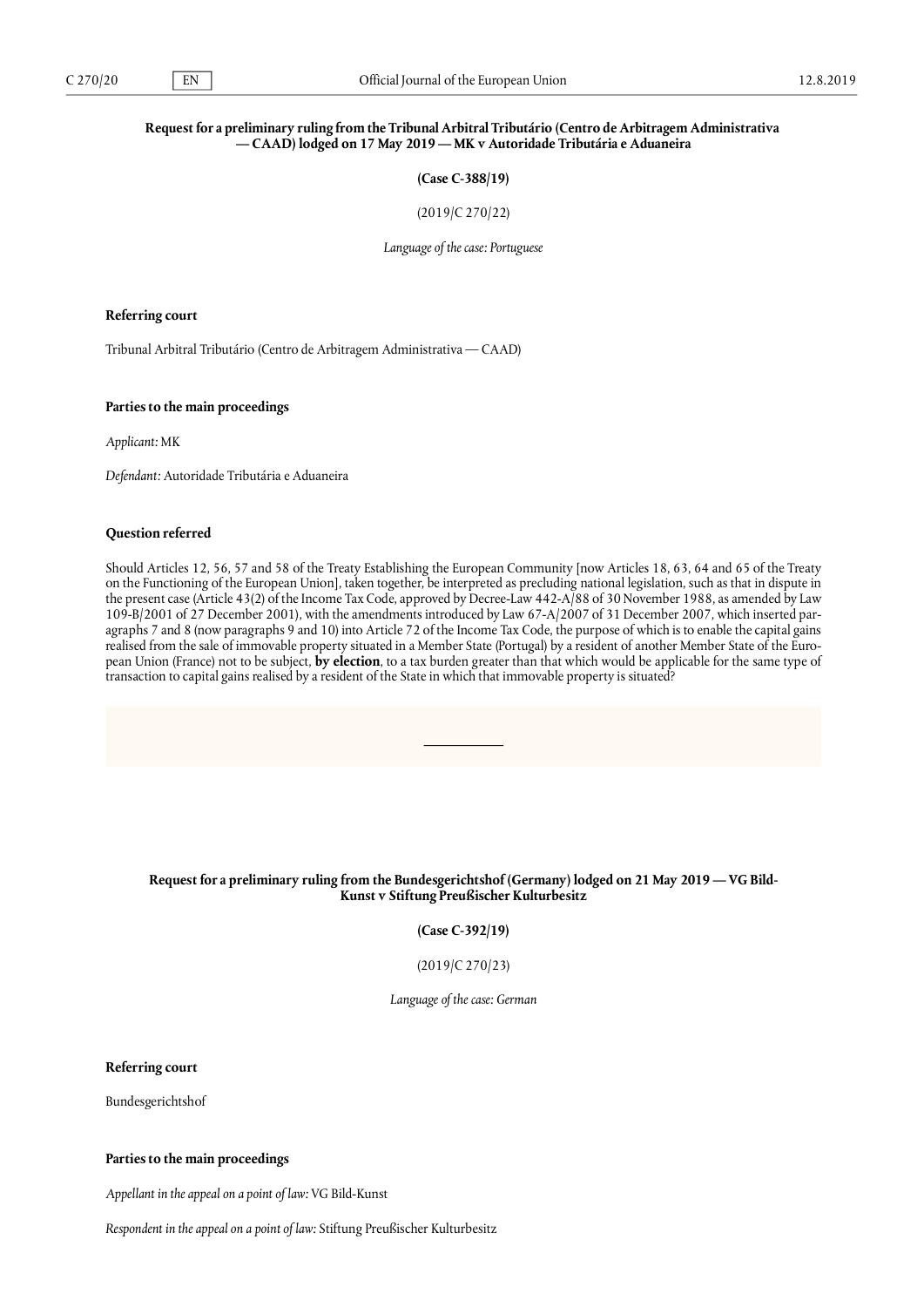# Request for a preliminary ruling from the Tribunal Arbitral Tributário (Centro de Arbitragem Administrativa **— CAAD) lodged on 17 May 2019 — MK v Autoridade Tributária e Aduaneira**

**(Case C-388/19)**

(2019/C 270/22)

*Language of the case: Portuguese*

#### **Referring court**

Tribunal Arbitral Tributário (Centro de Arbitragem Administrativa — CAAD)

### **Parties to the main proceedings**

*Applicant:* MK

*Defendant:* Autoridade Tributária e Aduaneira

# **Question referred**

Should Articles 12, 56, 57 and 58 of the Treaty Establishing the European Community [now Articles 18, 63, 64 and 65 of the Treaty on the Functioning of the European Union], taken together, be interpreted as precluding national legislation, such as that in dispute in the present case (Article 43(2) of the Income Tax Code, approved by Decree-Law 442-A/88 of 30 November 1988, as amended by Law 109-B/2001 of 27 December 2001), with the amendments introduced by Law 67-A/2007 of 31 December 2007, which inserted paragraphs 7 and 8 (now paragraphs 9 and 10) into Article 72 of the Income Tax Code, the purpose of which is to enable the capital gains realised from the sale of immovable property situated in a Member State (Portugal) by a resident of another Member State of the European Union (France) not to be subject, **by election**, to a tax burden greater than that which would be applicable for the same type of transaction to capital gains realised by a resident of the State in which that immovable property is situated?

# Request for a preliminary ruling from the Bundesgerichtshof (Germany) lodged on 21 May 2019 — VG Bild-**Kunst v Stiftung Preußischer Kulturbesitz**

**(Case C-392/19)**

(2019/C 270/23)

*Language of the case: German*

**Referring court**

Bundesgerichtshof

### **Parties to the main proceedings**

*Appellant in the appeal on a point of law:* VG Bild-Kunst

*Respondent in the appeal on a point of law:* Stiftung Preußischer Kulturbesitz